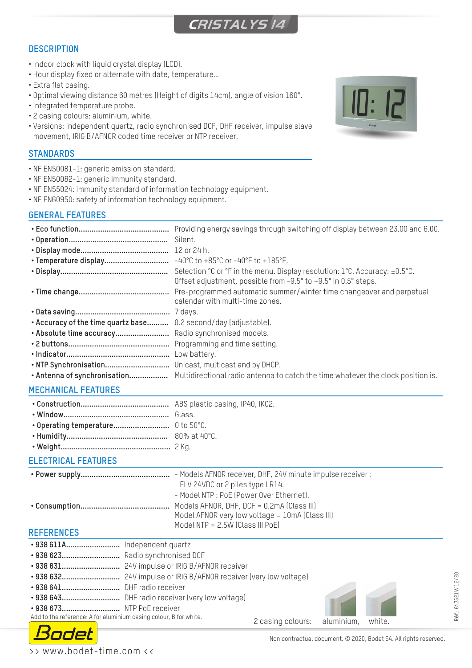# **CRISTALYS 14**

# **DESCRIPTION**

- Indoor clock with liquid crystal display (LCD).
- Hour display fixed or alternate with date, temperature…
- Extra flat casing.
- Optimal viewing distance 60 metres (Height of digits 14cm), angle of vision 160°.
- Integrated temperature probe.
- 2 casing colours: aluminium, white.
- Versions: independent quartz, radio synchronised DCF, DHF receiver, impulse slave movement, IRIG B/AFNOR coded time receiver or NTP receiver.

### **STANDARDS**

- NF EN50081-1: generic emission standard.
- NF EN50082-1: generic immunity standard.
- NF EN55024: immunity standard of information technology equipment.
- NF EN60950: safety of information technology equipment.

## **GENERAL FEATURES**

|                                                                 | Providing energy savings through switching off display between 23.00 and 6.00.<br>Silent.                                                    |
|-----------------------------------------------------------------|----------------------------------------------------------------------------------------------------------------------------------------------|
|                                                                 |                                                                                                                                              |
| • Temperature display                                           | $-40^{\circ}$ C to $+85^{\circ}$ C or $-40^{\circ}$ F to $+185^{\circ}$ F.                                                                   |
|                                                                 | Selection °C or °F in the menu. Display resolution: 1°C. Accuracy: ±0.5°C.<br>Offset adjustment, possible from -9.5° to +9.5° in 0.5° steps. |
|                                                                 | Pre-programmed automatic summer/winter time changeover and perpetual<br>calendar with multi-time zones.                                      |
|                                                                 |                                                                                                                                              |
| • Accuracy of the time quartz base 0.2 second/day (adjustable). |                                                                                                                                              |
| . Absolute time accuracy Radio synchronised models.             |                                                                                                                                              |
|                                                                 | Programming and time setting.                                                                                                                |
|                                                                 |                                                                                                                                              |
|                                                                 |                                                                                                                                              |
|                                                                 |                                                                                                                                              |
| ,,,,,,,,,,,,,,,,,,,,,,,,                                        |                                                                                                                                              |

### **MECHANICAL FEATURES**

| $0.001 + 1.000$ |
|-----------------|

- **• Humidity...............................................** 80% at 40°C.
- **• Weight...................................................** 2 Kg.

### **ELECTRICAL FEATURES**

| - Models AFNOR receiver, DHF, 24V minute impulse receiver : |
|-------------------------------------------------------------|
| ELV 24VDC or 2 piles type LR14.                             |
| - Model NTP : PoE (Power Over Ethernet).                    |
|                                                             |
| Model AFNOR very low voltage = 10mA (Class III)             |
| Model NTP = 2.5W (Class III PoE)                            |

#### **REFERENCES**

| • 938 623 Radio synchronised DCF                                  |                                     |  |
|-------------------------------------------------------------------|-------------------------------------|--|
|                                                                   |                                     |  |
|                                                                   |                                     |  |
|                                                                   |                                     |  |
|                                                                   |                                     |  |
| • 938 673 NTP PoE receiver                                        |                                     |  |
| Add to the reference: A for aluminium casing colour, B for white. | 2 casing colours: aluminium, white. |  |